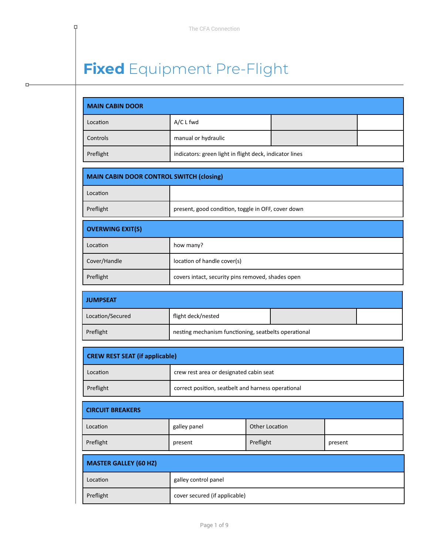# **Fixed** Equipment Pre-Flight

P

 $\Box$ 

| <b>MAIN CABIN DOOR</b>                          |                                                         |                       |  |  |
|-------------------------------------------------|---------------------------------------------------------|-----------------------|--|--|
| Location                                        | A/C L fwd                                               |                       |  |  |
| Controls                                        | manual or hydraulic                                     |                       |  |  |
| Preflight                                       | indicators: green light in flight deck, indicator lines |                       |  |  |
| <b>MAIN CABIN DOOR CONTROL SWITCH (closing)</b> |                                                         |                       |  |  |
| Location                                        |                                                         |                       |  |  |
| Preflight                                       | present, good condition, toggle in OFF, cover down      |                       |  |  |
| <b>OVERWING EXIT(S)</b>                         |                                                         |                       |  |  |
| Location                                        | how many?                                               |                       |  |  |
| Cover/Handle                                    | location of handle cover(s)                             |                       |  |  |
| Preflight                                       | covers intact, security pins removed, shades open       |                       |  |  |
| <b>JUMPSEAT</b>                                 |                                                         |                       |  |  |
| Location/Secured                                | flight deck/nested                                      |                       |  |  |
| Preflight                                       | nesting mechanism functioning, seatbelts operational    |                       |  |  |
| <b>CREW REST SEAT (if applicable)</b>           |                                                         |                       |  |  |
| Location                                        | crew rest area or designated cabin seat                 |                       |  |  |
| Preflight                                       | correct position, seatbelt and harness operational      |                       |  |  |
| <b>CIRCUIT BREAKERS</b>                         |                                                         |                       |  |  |
| Location                                        | galley panel                                            | <b>Other Location</b> |  |  |
| Preflight                                       | Preflight<br>present<br>present                         |                       |  |  |
| <b>MASTER GALLEY (60 HZ)</b>                    |                                                         |                       |  |  |
| Location                                        | galley control panel                                    |                       |  |  |
| Preflight                                       | cover secured (if applicable)                           |                       |  |  |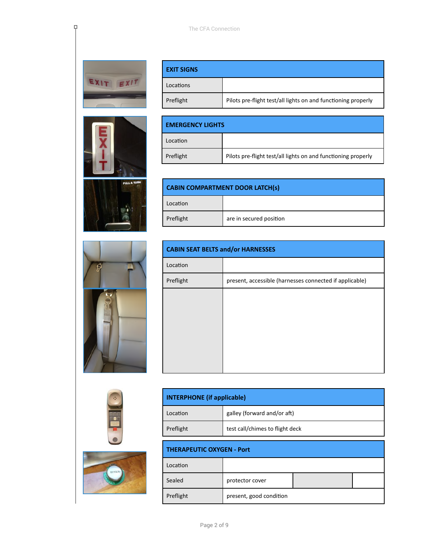

 $\overline{P}$ 











| <b>EXIT SIGNS</b> |                                                               |
|-------------------|---------------------------------------------------------------|
| Locations         |                                                               |
| Preflight         | Pilots pre-flight test/all lights on and functioning properly |

| l EMERGENCY LIGHTS |                                                               |  |
|--------------------|---------------------------------------------------------------|--|
| Location           |                                                               |  |
| Preflight          | Pilots pre-flight test/all lights on and functioning properly |  |

| <b>CABIN COMPARTMENT DOOR LATCH(s)</b> |                         |  |
|----------------------------------------|-------------------------|--|
| Location                               |                         |  |
| Preflight                              | are in secured position |  |

| <b>CABIN SEAT BELTS and/or HARNESSES</b> |                                                         |  |  |
|------------------------------------------|---------------------------------------------------------|--|--|
| Location                                 |                                                         |  |  |
| Preflight                                | present, accessible (harnesses connected if applicable) |  |  |
|                                          |                                                         |  |  |
|                                          |                                                         |  |  |
|                                          |                                                         |  |  |
|                                          |                                                         |  |  |
|                                          |                                                         |  |  |
|                                          |                                                         |  |  |

| galley (forward and/or aft)<br>Location<br>test call/chimes to flight deck<br>Preflight | <b>INTERPHONE</b> (if applicable) |  |  |
|-----------------------------------------------------------------------------------------|-----------------------------------|--|--|
|                                                                                         |                                   |  |  |
|                                                                                         |                                   |  |  |

| <b>THERAPEUTIC OXYGEN - Port</b> |                         |  |  |
|----------------------------------|-------------------------|--|--|
| Location                         |                         |  |  |
| Sealed                           | protector cover         |  |  |
| Preflight                        | present, good condition |  |  |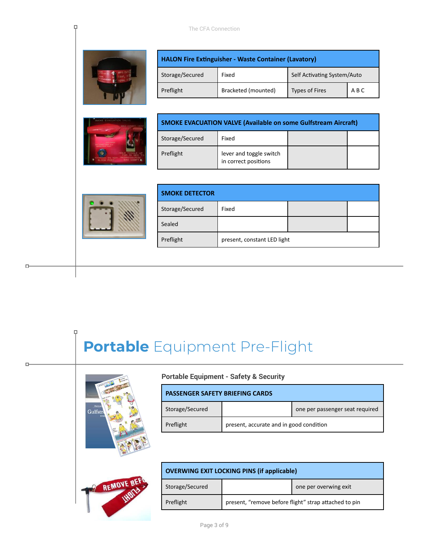

Ę.



| <b>HALON Fire Extinguisher - Waste Container (Lavatory)</b> |                                      |                       |     |
|-------------------------------------------------------------|--------------------------------------|-----------------------|-----|
| Storage/Secured                                             | Self Activating System/Auto<br>Fixed |                       |     |
| Preflight                                                   | Bracketed (mounted)                  | <b>Types of Fires</b> | ABC |

| <b>SMOKE EVACUATION VALVE (Available on some Gulfstream Aircraft)</b> |                                                 |  |  |
|-----------------------------------------------------------------------|-------------------------------------------------|--|--|
| Storage/Secured<br>Fixed                                              |                                                 |  |  |
| Preflight                                                             | lever and toggle switch<br>in correct positions |  |  |



 $\Box$ 

 $\Box$ 

| <b>SMOKE DETECTOR</b> |                             |  |  |
|-----------------------|-----------------------------|--|--|
| Storage/Secured       | Fixed                       |  |  |
| Sealed                |                             |  |  |
| Preflight             | present, constant LED light |  |  |

# **Portable** Equipment Pre-Flight



#### **Portable Equipment - Safety & Security**

|                 | <b>PASSENGER SAFETY BRIEFING CARDS</b>  |                                 |  |
|-----------------|-----------------------------------------|---------------------------------|--|
| Storage/Secured |                                         | one per passenger seat required |  |
| Preflight       | present, accurate and in good condition |                                 |  |

| <b>OVERWING EXIT LOCKING PINS (if applicable)</b> |                                                       |                       |
|---------------------------------------------------|-------------------------------------------------------|-----------------------|
| Storage/Secured                                   |                                                       | one per overwing exit |
| Preflight                                         | present, "remove before flight" strap attached to pin |                       |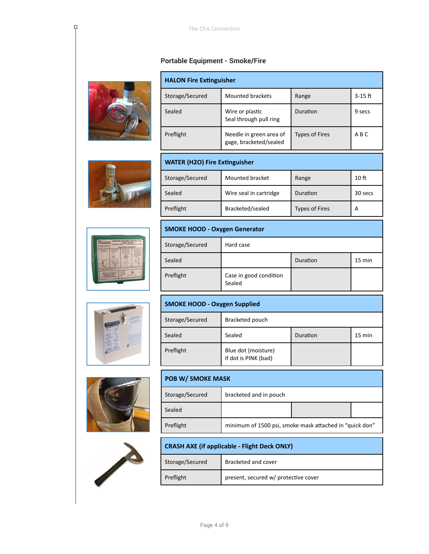#### **Portable Equipment - Smoke/Fire**



 $\overline{P}$ 





Г







| <b>HALON Fire Extinguisher</b> |                                                   |                       |           |
|--------------------------------|---------------------------------------------------|-----------------------|-----------|
| Storage/Secured                | Mounted brackets                                  | Range                 | $3-15$ ft |
| Sealed                         | Wire or plastic<br>Seal through pull ring         | Duration              | 9 secs    |
| Preflight                      | Needle in green area of<br>gage, bracketed/sealed | <b>Types of Fires</b> | ABC       |

| <b>WATER (H2O) Fire Extinguisher</b>                            |                        |          |         |  |
|-----------------------------------------------------------------|------------------------|----------|---------|--|
| Storage/Secured<br>Mounted bracket<br>10 <sub>ft</sub><br>Range |                        |          |         |  |
| Sealed                                                          | Wire seal in cartridge | Duration | 30 secs |  |
| Preflight<br>Bracketed/sealed<br><b>Types of Fires</b><br>А     |                        |          |         |  |

# **SMOKE HOOD - Oxygen Generator**

| Storage/Secured | Hard case                        |          |                  |
|-----------------|----------------------------------|----------|------------------|
| Sealed          |                                  | Duration | $15 \text{ min}$ |
| Preflight       | Case in good condition<br>Sealed |          |                  |

| <b>SMOKE HOOD - Oxygen Supplied</b> |                                             |          |        |
|-------------------------------------|---------------------------------------------|----------|--------|
| Storage/Secured                     | Bracketed pouch                             |          |        |
| Sealed                              | Sealed                                      | Duration | 15 min |
| Preflight                           | Blue dot (moisture)<br>if dot is PINK (bad) |          |        |

| <b>POB W/ SMOKE MASK</b> |                                                         |  |  |
|--------------------------|---------------------------------------------------------|--|--|
| Storage/Secured          | bracketed and in pouch                                  |  |  |
| Sealed                   |                                                         |  |  |
| Preflight                | minimum of 1500 psi, smoke mask attached in "quick don" |  |  |

| <b>CRASH AXE (if applicable - Flight Deck ONLY)</b> |                                      |  |
|-----------------------------------------------------|--------------------------------------|--|
| Storage/Secured<br>Bracketed and cover              |                                      |  |
| Preflight                                           | present, secured w/ protective cover |  |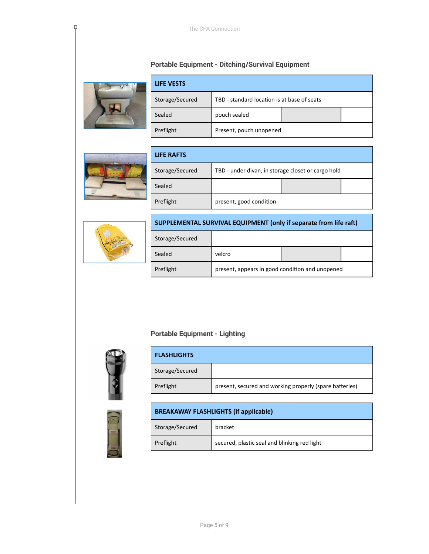# **Portable Equipment - Ditching/Survival Equipment**



P,

| <b>LIFE VESTS</b> |                                             |  |
|-------------------|---------------------------------------------|--|
| Storage/Secured   | TBD - standard location is at base of seats |  |
| Sealed            | pouch sealed                                |  |
| Preflight         | Present, pouch unopened                     |  |



| <b>LIFE RAFTS</b> |                                                    |  |
|-------------------|----------------------------------------------------|--|
| Storage/Secured   | TBD - under divan, in storage closet or cargo hold |  |
| Sealed            |                                                    |  |
| Preflight         | present, good condition                            |  |



| SUPPLEMENTAL SURVIVAL EQUIPMENT (only if separate from life raft) |        |  |  |
|-------------------------------------------------------------------|--------|--|--|
| Storage/Secured                                                   |        |  |  |
| Sealed                                                            | velcro |  |  |
| present, appears in good condition and unopened<br>Preflight      |        |  |  |

# **Portable Equipment - Lighting**



| <b>FLASHLIGHTS</b> |                                                         |
|--------------------|---------------------------------------------------------|
| Storage/Secured    |                                                         |
| Preflight          | present, secured and working properly (spare batteries) |



| <b>BREAKAWAY FLASHLIGHTS (if applicable)</b> |                                              |
|----------------------------------------------|----------------------------------------------|
| Storage/Secured<br>bracket                   |                                              |
| Preflight                                    | secured, plastic seal and blinking red light |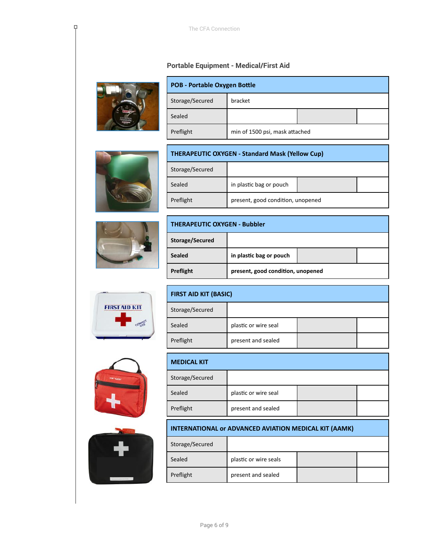#### **Portable Equipment - Medical/First Aid**



Ę.

| <b>POB - Portable Oxygen Bottle</b> |                                |  |  |
|-------------------------------------|--------------------------------|--|--|
| Storage/Secured                     | bracket                        |  |  |
| Sealed                              |                                |  |  |
| Preflight                           | min of 1500 psi, mask attached |  |  |





| <b>THERAPEUTIC OXYGEN - Standard Mask (Yellow Cup)</b> |                         |  |  |
|--------------------------------------------------------|-------------------------|--|--|
| Storage/Secured                                        |                         |  |  |
| Sealed                                                 | in plastic bag or pouch |  |  |
| Preflight<br>present, good condition, unopened         |                         |  |  |





| Sealed    | plastic or wire seal |  |
|-----------|----------------------|--|
| Preflight | present and sealed   |  |





| <b>MEDICAL KIT</b> |                      |  |  |
|--------------------|----------------------|--|--|
| Storage/Secured    |                      |  |  |
| Sealed             | plastic or wire seal |  |  |
| Preflight          | present and sealed   |  |  |

## **INTERNATIONAL or ADVANCED AVIATION MEDICAL KIT (AAMK)**

| Storage/Secured |                       |  |
|-----------------|-----------------------|--|
| Sealed          | plastic or wire seals |  |
| Preflight       | present and sealed    |  |

**FIRST AID KIT (BASIC)**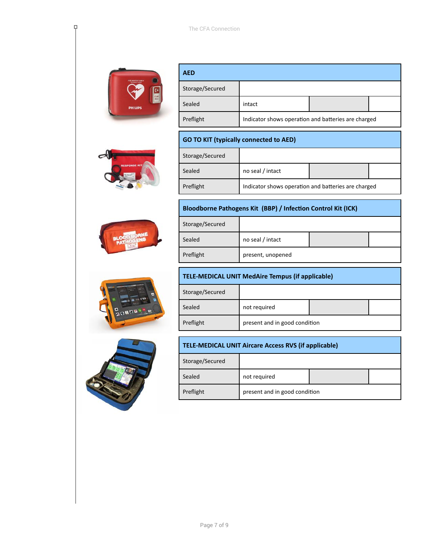

Ę.



| <b>AED</b>      |                                                     |  |
|-----------------|-----------------------------------------------------|--|
| Storage/Secured |                                                     |  |
| Sealed          | intact                                              |  |
| Preflight       | Indicator shows operation and batteries are charged |  |

## **GO TO KIT (typically connected to AED)**

| Storage/Secured |                                                     |  |  |
|-----------------|-----------------------------------------------------|--|--|
| Sealed          | no seal / intact                                    |  |  |
| Preflight       | Indicator shows operation and batteries are charged |  |  |

#### **Bloodborne Pathogens Kit (BBP) / Infection Control Kit (ICK)**

| Storage/Secured |                   |  |
|-----------------|-------------------|--|
| Sealed          | no seal / intact  |  |
| Preflight       | present, unopened |  |





# **TELE-MEDICAL UNIT MedAire Tempus (if applicable)** Storage/Secured Sealed not required Preflight present and in good condition

| <b>TELE-MEDICAL UNIT Aircare Access RVS (if applicable)</b> |              |  |  |
|-------------------------------------------------------------|--------------|--|--|
| Storage/Secured                                             |              |  |  |
| Sealed                                                      | not required |  |  |
| Preflight<br>present and in good condition                  |              |  |  |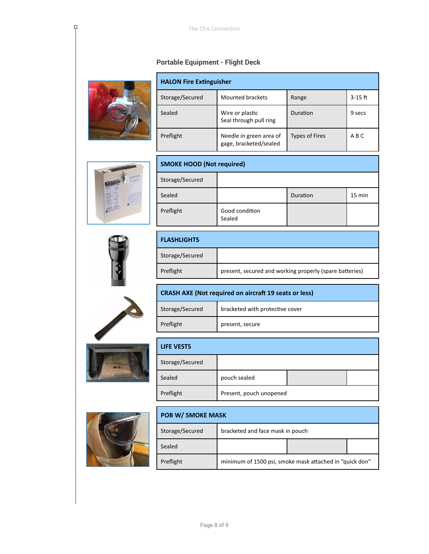## **Portable Equipment - Flight Deck**



P,

| <b>HALON Fire Extinguisher</b> |                                                   |                       |           |
|--------------------------------|---------------------------------------------------|-----------------------|-----------|
| Storage/Secured                | Mounted brackets                                  | Range                 | $3-15$ ft |
| Sealed                         | Wire or plastic<br>Seal through pull ring         | Duration              | 9 secs    |
| Preflight                      | Needle in green area of<br>gage, bracketed/sealed | <b>Types of Fires</b> | A B C     |



| <b>SMOKE HOOD (Not required)</b> |                          |          |        |
|----------------------------------|--------------------------|----------|--------|
| Storage/Secured                  |                          |          |        |
| Sealed                           |                          | Duration | 15 min |
| Preflight                        | Good condition<br>Sealed |          |        |



| <b>FLASHLIGHTS</b> |                                                         |
|--------------------|---------------------------------------------------------|
| Storage/Secured    |                                                         |
| Preflight          | present, secured and working properly (spare batteries) |

| $No. \Delta$ |  |
|--------------|--|
|              |  |
|              |  |

Н

| <b>CRASH AXE (Not required on aircraft 19 seats or less)</b> |                                 |  |
|--------------------------------------------------------------|---------------------------------|--|
| Storage/Secured                                              | bracketed with protective cover |  |
| Preflight                                                    | present, secure                 |  |
|                                                              |                                 |  |

| <b>LIFE VESTS</b> |                         |  |
|-------------------|-------------------------|--|
| Storage/Secured   |                         |  |
| Sealed            | pouch sealed            |  |
| Preflight         | Present, pouch unopened |  |



| <b>POB W/ SMOKE MASK</b> |                                                         |  |  |
|--------------------------|---------------------------------------------------------|--|--|
| Storage/Secured          | bracketed and face mask in pouch                        |  |  |
| Sealed                   |                                                         |  |  |
| Preflight                | minimum of 1500 psi, smoke mask attached in "quick don" |  |  |